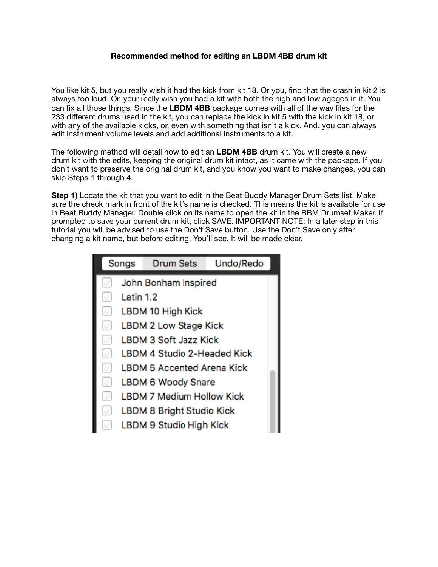## **Recommended method for editing an LBDM 4BB drum kit**

You like kit 5, but you really wish it had the kick from kit 18. Or you, find that the crash in kit 2 is always too loud. Or, your really wish you had a kit with both the high and low agogos in it. You can fix all those things. Since the **LBDM 4BB** package comes with all of the wav files for the 233 different drums used in the kit, you can replace the kick in kit 5 with the kick in kit 18, or with any of the available kicks, or, even with something that isn't a kick. And, you can always edit instrument volume levels and add additional instruments to a kit.

The following method will detail how to edit an **LBDM 4BB** drum kit. You will create a new drum kit with the edits, keeping the original drum kit intact, as it came with the package. If you don't want to preserve the original drum kit, and you know you want to make changes, you can skip Steps 1 through 4.

**Step 1)** Locate the kit that you want to edit in the Beat Buddy Manager Drum Sets list. Make sure the check mark in front of the kit's name is checked. This means the kit is available for use in Beat Buddy Manager. Double click on its name to open the kit in the BBM Drumset Maker. If prompted to save your current drum kit, click SAVE. IMPORTANT NOTE: In a later step in this tutorial you will be advised to use the Don't Save button. Use the Don't Save only after changing a kit name, but before editing. You'll see. It will be made clear.

|    | Songs     | <b>Drum Sets</b>                  | Undo/Redo |
|----|-----------|-----------------------------------|-----------|
| Í. |           | John Bonham Inspired              |           |
| Ï. | Latin 1.2 |                                   |           |
| Í. |           | LBDM 10 High Kick                 |           |
| V) |           | <b>LBDM 2 Low Stage Kick</b>      |           |
| Í  |           | <b>LBDM 3 Soft Jazz Kick</b>      |           |
| V  |           | LBDM 4 Studio 2-Headed Kick       |           |
| Ø) |           | <b>LBDM 5 Accented Arena Kick</b> |           |
| Ø) |           | LBDM 6 Woody Snare                |           |
| V) |           | <b>LBDM 7 Medium Hollow Kick</b>  |           |
| V) |           | LBDM 8 Bright Studio Kick         |           |
|    |           | LBDM 9 Studio High Kick           |           |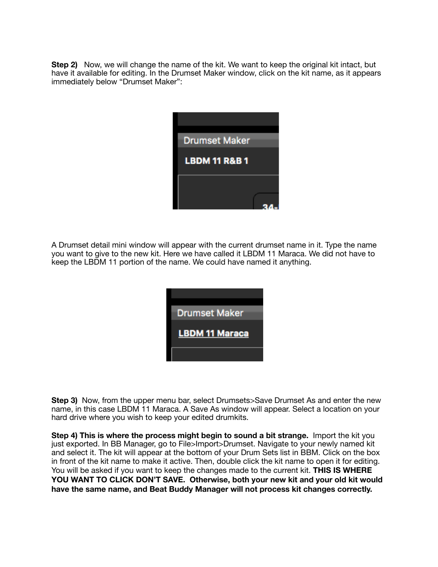**Step 2)** Now, we will change the name of the kit. We want to keep the original kit intact, but have it available for editing. In the Drumset Maker window, click on the kit name, as it appears immediately below "Drumset Maker":



A Drumset detail mini window will appear with the current drumset name in it. Type the name you want to give to the new kit. Here we have called it LBDM 11 Maraca. We did not have to keep the LBDM 11 portion of the name. We could have named it anything.



**Step 3)** Now, from the upper menu bar, select Drumsets>Save Drumset As and enter the new name, in this case LBDM 11 Maraca. A Save As window will appear. Select a location on your hard drive where you wish to keep your edited drumkits.

**Step 4) This is where the process might begin to sound a bit strange.** Import the kit you just exported. In BB Manager, go to File>Import>Drumset. Navigate to your newly named kit and select it. The kit will appear at the bottom of your Drum Sets list in BBM. Click on the box in front of the kit name to make it active. Then, double click the kit name to open it for editing. You will be asked if you want to keep the changes made to the current kit. **THIS IS WHERE YOU WANT TO CLICK DON'T SAVE. Otherwise, both your new kit and your old kit would have the same name, and Beat Buddy Manager will not process kit changes correctly.**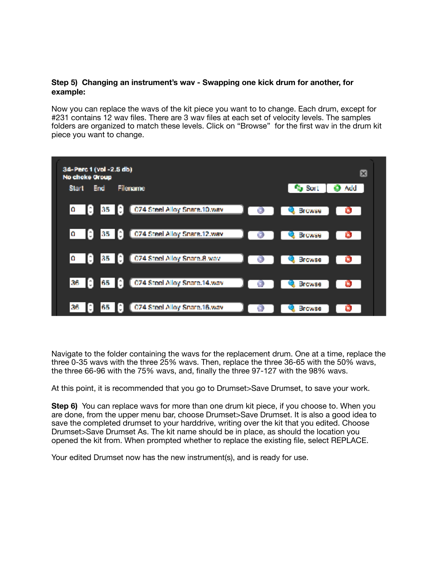## **Step 5) Changing an instrument's wav - Swapping one kick drum for another, for example:**

Now you can replace the wavs of the kit piece you want to to change. Each drum, except for #231 contains 12 wav files. There are 3 wav files at each set of velocity levels. The samples folders are organized to match these levels. Click on "Browse" for the first wav in the drum kit piece you want to change.



Navigate to the folder containing the wavs for the replacement drum. One at a time, replace the three 0-35 wavs with the three 25% wavs. Then, replace the three 36-65 with the 50% wavs, the three 66-96 with the 75% wavs, and, finally the three 97-127 with the 98% wavs.

At this point, it is recommended that you go to Drumset>Save Drumset, to save your work.

**Step 6)** You can replace wavs for more than one drum kit piece, if you choose to. When you are done, from the upper menu bar, choose Drumset>Save Drumset. It is also a good idea to save the completed drumset to your harddrive, writing over the kit that you edited. Choose Drumset>Save Drumset As. The kit name should be in place, as should the location you opened the kit from. When prompted whether to replace the existing file, select REPLACE.

Your edited Drumset now has the new instrument(s), and is ready for use.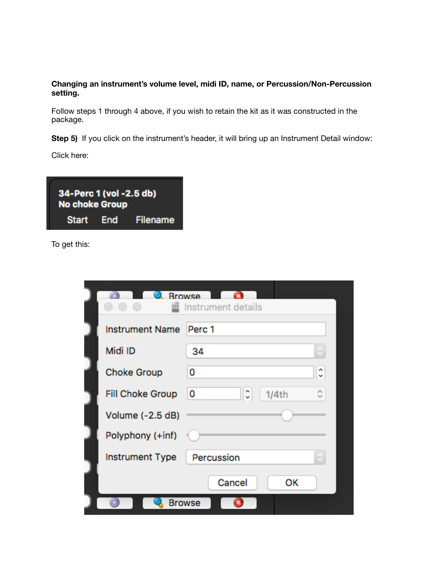## **Changing an instrument's volume level, midi ID, name, or Percussion/Non-Percussion setting.**

Follow steps 1 through 4 above, if you wish to retain the kit as it was constructed in the package.

Step 5) If you click on the instrument's header, it will bring up an Instrument Detail window:

Click here:

| 34-Perc 1 (vol -2.5 db)<br><b>No choke Group</b> |                    |
|--------------------------------------------------|--------------------|
|                                                  | Start End Filename |

To get this:

| 333                     | <b>Browse</b><br>Instrument details |
|-------------------------|-------------------------------------|
| <b>Instrument Name</b>  | Perc 1                              |
| Midi ID                 | 34                                  |
| <b>Choke Group</b>      | $\hat{\cdot}$<br>0                  |
| <b>Fill Choke Group</b> | ≎<br>٥<br>0<br>1/4th                |
| Volume (-2.5 dB)        |                                     |
| Polyphony (+inf)        |                                     |
| <b>Instrument Type</b>  | Percussion                          |
|                         | Cancel<br>ОΚ                        |
|                         | Browse                              |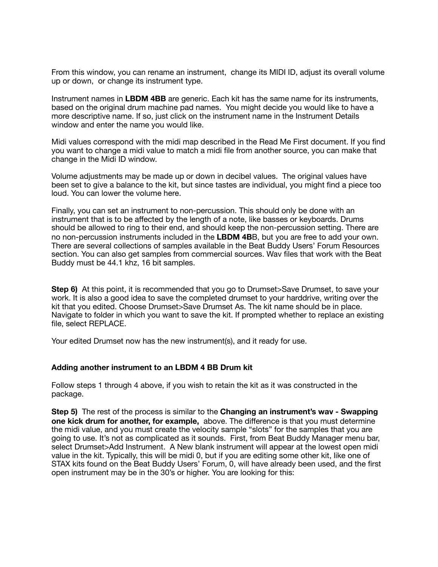From this window, you can rename an instrument, change its MIDI ID, adjust its overall volume up or down, or change its instrument type.

Instrument names in **LBDM 4BB** are generic. Each kit has the same name for its instruments, based on the original drum machine pad names. You might decide you would like to have a more descriptive name. If so, just click on the instrument name in the Instrument Details window and enter the name you would like.

Midi values correspond with the midi map described in the Read Me First document. If you find you want to change a midi value to match a midi file from another source, you can make that change in the Midi ID window.

Volume adjustments may be made up or down in decibel values. The original values have been set to give a balance to the kit, but since tastes are individual, you might find a piece too loud. You can lower the volume here.

Finally, you can set an instrument to non-percussion. This should only be done with an instrument that is to be affected by the length of a note, like basses or keyboards. Drums should be allowed to ring to their end, and should keep the non-percussion setting. There are no non-percussion instruments included in the **LBDM 4B**B, but you are free to add your own. There are several collections of samples available in the Beat Buddy Users' Forum Resources section. You can also get samples from commercial sources. Wav files that work with the Beat Buddy must be 44.1 khz, 16 bit samples.

**Step 6)** At this point, it is recommended that you go to Drumset>Save Drumset, to save your work. It is also a good idea to save the completed drumset to your harddrive, writing over the kit that you edited. Choose Drumset>Save Drumset As. The kit name should be in place. Navigate to folder in which you want to save the kit. If prompted whether to replace an existing file, select REPLACE.

Your edited Drumset now has the new instrument(s), and it ready for use.

## **Adding another instrument to an LBDM 4 BB Drum kit**

Follow steps 1 through 4 above, if you wish to retain the kit as it was constructed in the package.

**Step 5)** The rest of the process is similar to the **Changing an instrument's wav - Swapping one kick drum for another, for example,** above. The difference is that you must determine the midi value, and you must create the velocity sample "slots" for the samples that you are going to use. It's not as complicated as it sounds. First, from Beat Buddy Manager menu bar, select Drumset>Add Instrument. A New blank instrument will appear at the lowest open midi value in the kit. Typically, this will be midi 0, but if you are editing some other kit, like one of STAX kits found on the Beat Buddy Users' Forum, 0, will have already been used, and the first open instrument may be in the 30's or higher. You are looking for this: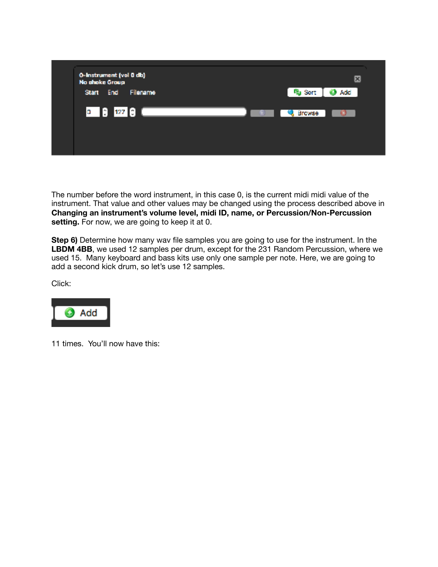

The number before the word instrument, in this case 0, is the current midi midi value of the instrument. That value and other values may be changed using the process described above in **Changing an instrument's volume level, midi ID, name, or Percussion/Non-Percussion setting.** For now, we are going to keep it at 0.

**Step 6)** Determine how many wav file samples you are going to use for the instrument. In the **LBDM 4BB**, we used 12 samples per drum, except for the 231 Random Percussion, where we used 15. Many keyboard and bass kits use only one sample per note. Here, we are going to add a second kick drum, so let's use 12 samples.

Click:



11 times. You'll now have this: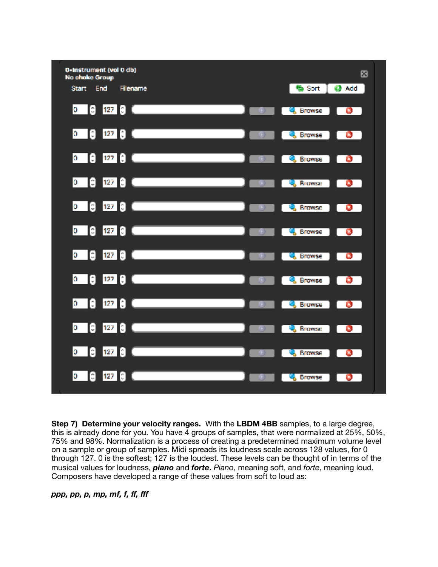

**Step 7) Determine your velocity ranges.** With the **LBDM 4BB** samples, to a large degree, this is already done for you. You have 4 groups of samples, that were normalized at 25%, 50%, 75% and 98%. Normalization is a process of creating a predetermined maximum volume level on a sample or group of samples. Midi spreads its loudness scale across 128 values, for 0 through 127. 0 is the softest; 127 is the loudest. These levels can be thought of in terms of the musical values for loudness, *piano* and *forte***.** *Piano*, meaning soft, and *forte*, meaning loud. Composers have developed a range of these values from soft to loud as:

*ppp, pp, p, mp, mf, f, ff, fff*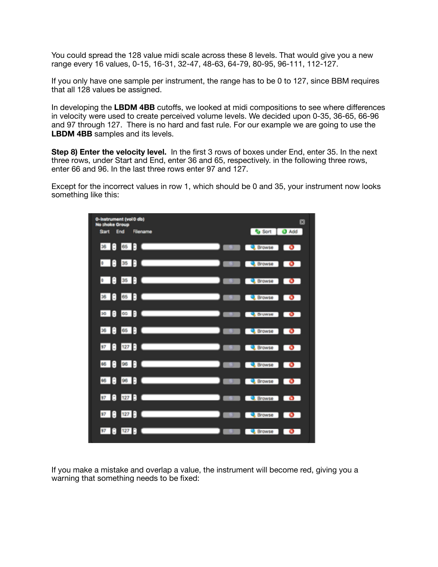You could spread the 128 value midi scale across these 8 levels. That would give you a new range every 16 values, 0-15, 16-31, 32-47, 48-63, 64-79, 80-95, 96-111, 112-127.

If you only have one sample per instrument, the range has to be 0 to 127, since BBM requires that all 128 values be assigned.

In developing the **LBDM 4BB** cutoffs, we looked at midi compositions to see where differences in velocity were used to create perceived volume levels. We decided upon 0-35, 36-65, 66-96 and 97 through 127. There is no hard and fast rule. For our example we are going to use the **LBDM 4BB** samples and its levels.

**Step 8) Enter the velocity level.** In the first 3 rows of boxes under End, enter 35. In the next three rows, under Start and End, enter 36 and 65, respectively. in the following three rows, enter 66 and 96. In the last three rows enter 97 and 127.

Except for the incorrect values in row 1, which should be 0 and 35, your instrument now looks something like this:



If you make a mistake and overlap a value, the instrument will become red, giving you a warning that something needs to be fixed: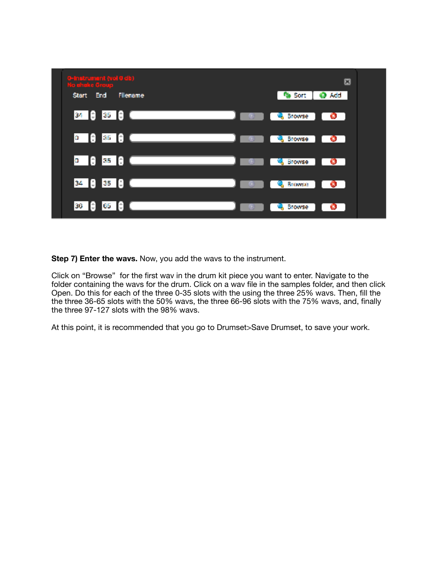

**Step 7) Enter the wavs.** Now, you add the wavs to the instrument.

Click on "Browse" for the first wav in the drum kit piece you want to enter. Navigate to the folder containing the wavs for the drum. Click on a wav file in the samples folder, and then click Open. Do this for each of the three 0-35 slots with the using the three 25% wavs. Then, fill the the three 36-65 slots with the 50% wavs, the three 66-96 slots with the 75% wavs, and, finally the three 97-127 slots with the 98% wavs.

At this point, it is recommended that you go to Drumset>Save Drumset, to save your work.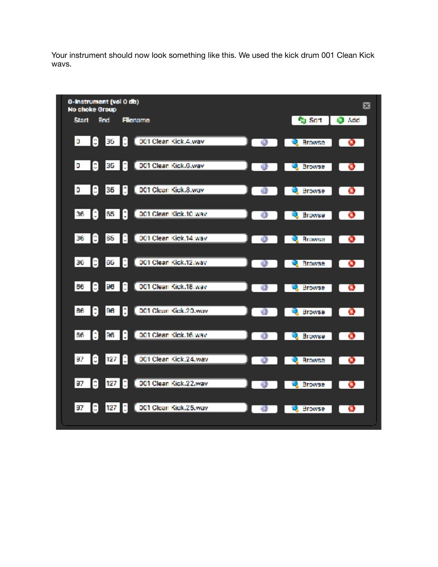Your instrument should now look something like this. We used the kick drum 001 Clean Kick wavs.

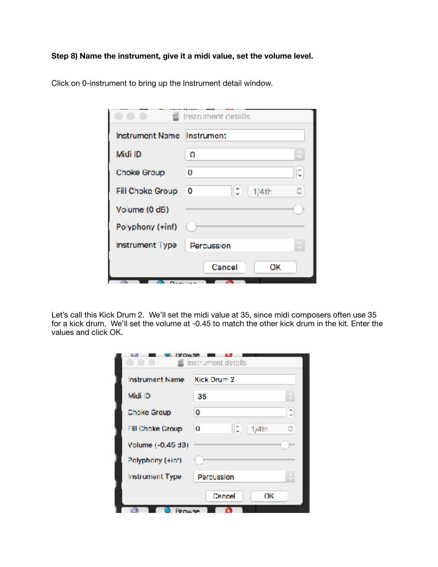**Step 8) Name the instrument, give it a midi value, set the volume level.** 

|                            | Instrument details     |
|----------------------------|------------------------|
| Instrument Name Instrument |                        |
| Midi ID                    | Ω                      |
| Choke Group                | ¢,<br>0                |
| Fill Choke Group           | IC.<br>٥<br>0<br>1/4th |
| Volume (0 dB)              |                        |
| Polyphony (+inf)           |                        |
| Instrument Type            | Percussion             |
|                            | Cancel<br>ОK           |

Click on 0-instrument to bring up the Instrument detail window.

Let's call this Kick Drum 2. We'll set the midi value at 35, since midi composers often use 35 for a kick drum. We'll set the volume at -0.45 to match the other kick drum in the kit. Enter the values and click OK.

| <b>Instrument Name</b> | Kick Drum 2       |   |
|------------------------|-------------------|---|
| Midi ID                | 35                |   |
| Choke Group            | 0                 | ĉ |
| Fill Choke Group       | IC.<br>o<br>1/4th | ō |
| Volume (-0.45 dB)      |                   |   |
| Polyphony (+inf)       |                   |   |
| <b>Instrument Type</b> | Percussion        |   |